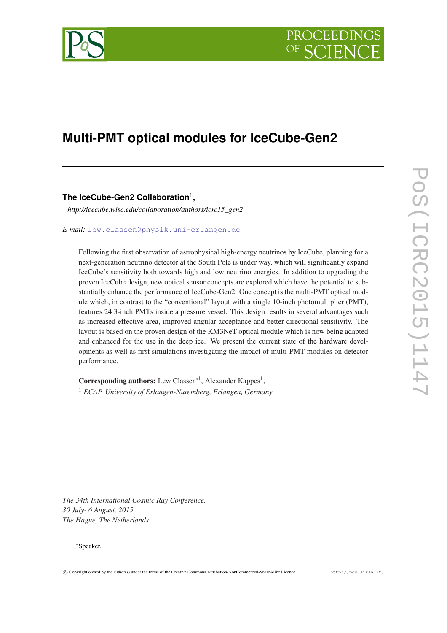

# **Multi-PMT optical modules for IceCube-Gen2**

**The IceCube-Gen2 Collaboration**<sup>1</sup> **,**

<sup>1</sup> *http://icecube.wisc.edu/collaboration/authors/icrc15\_gen2*

*E-mail:* [lew.classen@physik.uni-erlangen.de](mailto:lew.classen@physik.uni-erlangen.de)

Following the first observation of astrophysical high-energy neutrinos by IceCube, planning for a next-generation neutrino detector at the South Pole is under way, which will significantly expand IceCube's sensitivity both towards high and low neutrino energies. In addition to upgrading the proven IceCube design, new optical sensor concepts are explored which have the potential to substantially enhance the performance of IceCube-Gen2. One concept is the multi-PMT optical module which, in contrast to the "conventional" layout with a single 10-inch photomultiplier (PMT), features 24 3-inch PMTs inside a pressure vessel. This design results in several advantages such as increased effective area, improved angular acceptance and better directional sensitivity. The layout is based on the proven design of the KM3NeT optical module which is now being adapted and enhanced for the use in the deep ice. We present the current state of the hardware developments as well as first simulations investigating the impact of multi-PMT modules on detector performance.

Corresponding authors: Lew Classen<sup>\*1</sup>, Alexander Kappes<sup>1</sup>, <sup>1</sup> *ECAP, University of Erlangen-Nuremberg, Erlangen, Germany*

*The 34th International Cosmic Ray Conference, 30 July- 6 August, 2015 The Hague, The Netherlands*

## <sup>∗</sup>Speaker.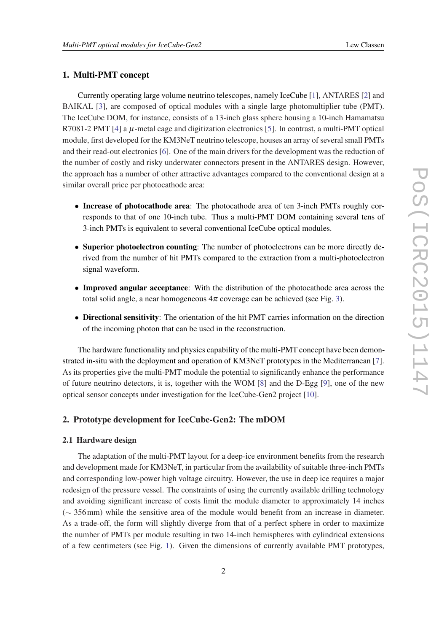# 1. Multi-PMT concept

Currently operating large volume neutrino telescopes, namely IceCube [\[1\]](#page-7-0), ANTARES [[2](#page-7-0)] and BAIKAL [\[3\]](#page-7-0), are composed of optical modules with a single large photomultiplier tube (PMT). The IceCube DOM, for instance, consists of a 13-inch glass sphere housing a 10-inch Hamamatsu R7081-2 PMT [[4](#page-7-0)] a  $\mu$ -metal cage and digitization electronics [\[5\]](#page-7-0). In contrast, a multi-PMT optical module, first developed for the KM3NeT neutrino telescope, houses an array of several small PMTs and their read-out electronics [[6](#page-7-0)]. One of the main drivers for the development was the reduction of the number of costly and risky underwater connectors present in the ANTARES design. However, the approach has a number of other attractive advantages compared to the conventional design at a similar overall price per photocathode area:

- Increase of photocathode area: The photocathode area of ten 3-inch PMTs roughly corresponds to that of one 10-inch tube. Thus a multi-PMT DOM containing several tens of 3-inch PMTs is equivalent to several conventional IceCube optical modules.
- Superior photoelectron counting: The number of photoelectrons can be more directly derived from the number of hit PMTs compared to the extraction from a multi-photoelectron signal waveform.
- Improved angular acceptance: With the distribution of the photocathode area across the total solid angle, a near homogeneous  $4\pi$  coverage can be achieved (see Fig. [3\)](#page-5-0).
- Directional sensitivity: The orientation of the hit PMT carries information on the direction of the incoming photon that can be used in the reconstruction.

The hardware functionality and physics capability of the multi-PMT concept have been demonstrated in-situ with the deployment and operation of KM3NeT prototypes in the Mediterranean [\[7\]](#page-7-0). As its properties give the multi-PMT module the potential to significantly enhance the performance of future neutrino detectors, it is, together with the WOM [\[8\]](#page-7-0) and the D-Egg [[9](#page-7-0)], one of the new optical sensor concepts under investigation for the IceCube-Gen2 project [[10\]](#page-7-0).

# 2. Prototype development for IceCube-Gen2: The mDOM

### 2.1 Hardware design

The adaptation of the multi-PMT layout for a deep-ice environment benefits from the research and development made for KM3NeT, in particular from the availability of suitable three-inch PMTs and corresponding low-power high voltage circuitry. However, the use in deep ice requires a major redesign of the pressure vessel. The constraints of using the currently available drilling technology and avoiding significant increase of costs limit the module diameter to approximately 14 inches (∼ 356mm) while the sensitive area of the module would benefit from an increase in diameter. As a trade-off, the form will slightly diverge from that of a perfect sphere in order to maximize the number of PMTs per module resulting in two 14-inch hemispheres with cylindrical extensions of a few centimeters (see Fig. [1\)](#page-2-0). Given the dimensions of currently available PMT prototypes,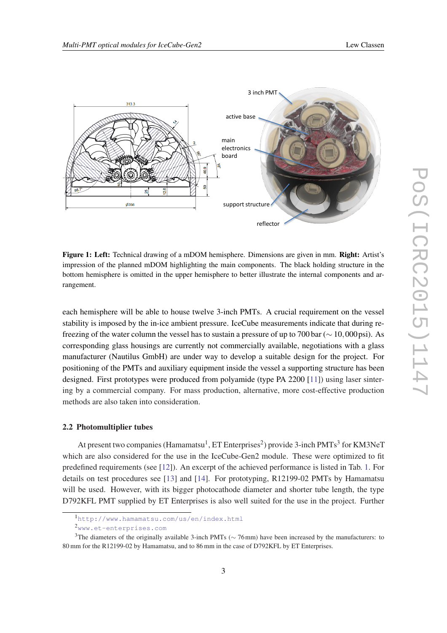<span id="page-2-0"></span>

Figure 1: Left: Technical drawing of a mDOM hemisphere. Dimensions are given in mm. Right: Artist's impression of the planned mDOM highlighting the main components. The black holding structure in the bottom hemisphere is omitted in the upper hemisphere to better illustrate the internal components and arrangement.

each hemisphere will be able to house twelve 3-inch PMTs. A crucial requirement on the vessel stability is imposed by the in-ice ambient pressure. IceCube measurements indicate that during refreezing of the water column the vessel has to sustain a pressure of up to 700 bar (∼ 10,000 psi). As corresponding glass housings are currently not commercially available, negotiations with a glass manufacturer (Nautilus GmbH) are under way to develop a suitable design for the project. For positioning of the PMTs and auxiliary equipment inside the vessel a supporting structure has been designed. First prototypes were produced from polyamide (type PA 2200 [[11\]](#page-7-0)) using laser sintering by a commercial company. For mass production, alternative, more cost-effective production methods are also taken into consideration.

#### 2.2 Photomultiplier tubes

At present two companies (Hamamatsu<sup>1</sup>, ET Enterprises<sup>2</sup>) provide 3-inch PMTs<sup>3</sup> for KM3NeT which are also considered for the use in the IceCube-Gen2 module. These were optimized to fit predefined requirements (see [[12](#page-7-0)]). An excerpt of the achieved performance is listed in Tab. [1.](#page-3-0) For details on test procedures see [[13](#page-7-0)] and [[14\]](#page-7-0). For prototyping, R12199-02 PMTs by Hamamatsu will be used. However, with its bigger photocathode diameter and shorter tube length, the type D792KFL PMT supplied by ET Enterprises is also well suited for the use in the project. Further

<sup>1</sup><http://www.hamamatsu.com/us/en/index.html>

<sup>2</sup><www.et-enterprises.com>

<sup>&</sup>lt;sup>3</sup>The diameters of the originally available 3-inch PMTs ( $\sim$  76mm) have been increased by the manufacturers: to 80 mm for the R12199-02 by Hamamatsu, and to 86 mm in the case of D792KFL by ET Enterprises.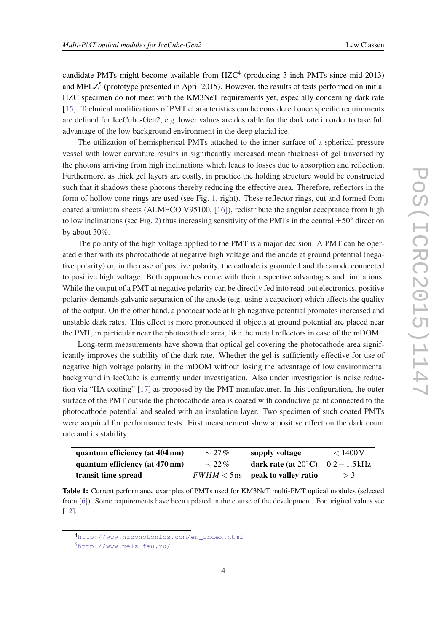<span id="page-3-0"></span>candidate PMTs might become available from  $HZC<sup>4</sup>$  (producing 3-inch PMTs since mid-2013) and MELZ<sup>5</sup> (prototype presented in April 2015). However, the results of tests performed on initial HZC specimen do not meet with the KM3NeT requirements yet, especially concerning dark rate [[15\]](#page-7-0). Technical modifications of PMT characteristics can be considered once specific requirements are defined for IceCube-Gen2, e.g. lower values are desirable for the dark rate in order to take full advantage of the low background environment in the deep glacial ice.

The utilization of hemispherical PMTs attached to the inner surface of a spherical pressure vessel with lower curvature results in significantly increased mean thickness of gel traversed by the photons arriving from high inclinations which leads to losses due to absorption and reflection. Furthermore, as thick gel layers are costly, in practice the holding structure would be constructed such that it shadows these photons thereby reducing the effective area. Therefore, reflectors in the form of hollow cone rings are used (see Fig. [1](#page-2-0), right). These reflector rings, cut and formed from coated aluminum sheets (ALMECO V95100, [[16\]](#page-7-0)), redistribute the angular acceptance from high to low inclinations (see Fig. [2](#page-4-0)) thus increasing sensitivity of the PMTs in the central  $\pm 50^\circ$  direction by about 30%.

The polarity of the high voltage applied to the PMT is a major decision. A PMT can be operated either with its photocathode at negative high voltage and the anode at ground potential (negative polarity) or, in the case of positive polarity, the cathode is grounded and the anode connected to positive high voltage. Both approaches come with their respective advantages and limitations: While the output of a PMT at negative polarity can be directly fed into read-out electronics, positive polarity demands galvanic separation of the anode (e.g. using a capacitor) which affects the quality of the output. On the other hand, a photocathode at high negative potential promotes increased and unstable dark rates. This effect is more pronounced if objects at ground potential are placed near the PMT, in particular near the photocathode area, like the metal reflectors in case of the mDOM.

Long-term measurements have shown that optical gel covering the photocathode area significantly improves the stability of the dark rate. Whether the gel is sufficiently effective for use of negative high voltage polarity in the mDOM without losing the advantage of low environmental background in IceCube is currently under investigation. Also under investigation is noise reduction via "HA coating" [[17](#page-7-0)] as proposed by the PMT manufacturer. In this configuration, the outer surface of the PMT outside the photocathode area is coated with conductive paint connected to the photocathode potential and sealed with an insulation layer. Two specimen of such coated PMTs were acquired for performance tests. First measurement show a positive effect on the dark count rate and its stability.

| quantum efficiency (at 404 nm) | $\sim$ 27% | supply voltage                                | < 1400 V |
|--------------------------------|------------|-----------------------------------------------|----------|
| quantum efficiency (at 470 nm) | $\sim$ 22% | dark rate (at $20^{\circ}$ C) $0.2 - 1.5$ kHz |          |
| transit time spread            |            | $FWHM < 5 \,\text{ns}$   peak to valley ratio | >3       |

Table 1: Current performance examples of PMTs used for KM3NeT multi-PMT optical modules (selected from [[6\]](#page-7-0)). Some requirements have been updated in the course of the development. For original values see [[12\]](#page-7-0).

<sup>4</sup>[http://www.hzcphotonics.com/en\\_index.html](http://www.hzcphotonics.com/en_index.html)

<sup>5</sup><http://www.melz-feu.ru/>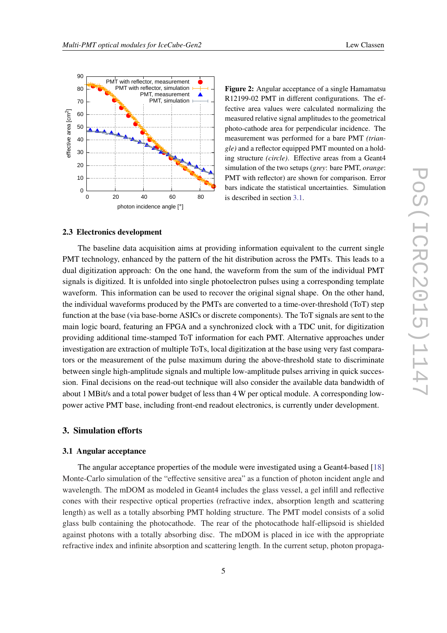<span id="page-4-0"></span>

Figure 2: Angular acceptance of a single Hamamatsu R12199-02 PMT in different configurations. The effective area values were calculated normalizing the measured relative signal amplitudes to the geometrical photo-cathode area for perpendicular incidence. The measurement was performed for a bare PMT *(triangle)* and a reflector equipped PMT mounted on a holding structure *(circle)*. Effective areas from a Geant4 simulation of the two setups (*grey*: bare PMT, *orange*: PMT with reflector) are shown for comparison. Error bars indicate the statistical uncertainties. Simulation is described in section 3.1.

#### 2.3 Electronics development

The baseline data acquisition aims at providing information equivalent to the current single PMT technology, enhanced by the pattern of the hit distribution across the PMTs. This leads to a dual digitization approach: On the one hand, the waveform from the sum of the individual PMT signals is digitized. It is unfolded into single photoelectron pulses using a corresponding template waveform. This information can be used to recover the original signal shape. On the other hand, the individual waveforms produced by the PMTs are converted to a time-over-threshold (ToT) step function at the base (via base-borne ASICs or discrete components). The ToT signals are sent to the main logic board, featuring an FPGA and a synchronized clock with a TDC unit, for digitization providing additional time-stamped ToT information for each PMT. Alternative approaches under investigation are extraction of multiple ToTs, local digitization at the base using very fast comparators or the measurement of the pulse maximum during the above-threshold state to discriminate between single high-amplitude signals and multiple low-amplitude pulses arriving in quick succession. Final decisions on the read-out technique will also consider the available data bandwidth of about 1 MBit/s and a total power budget of less than 4 W per optical module. A corresponding lowpower active PMT base, including front-end readout electronics, is currently under development.

### 3. Simulation efforts

#### 3.1 Angular acceptance

The angular acceptance properties of the module were investigated using a Geant4-based [\[18](#page-7-0)] Monte-Carlo simulation of the "effective sensitive area" as a function of photon incident angle and wavelength. The mDOM as modeled in Geant4 includes the glass vessel, a gel infill and reflective cones with their respective optical properties (refractive index, absorption length and scattering length) as well as a totally absorbing PMT holding structure. The PMT model consists of a solid glass bulb containing the photocathode. The rear of the photocathode half-ellipsoid is shielded against photons with a totally absorbing disc. The mDOM is placed in ice with the appropriate refractive index and infinite absorption and scattering length. In the current setup, photon propaga-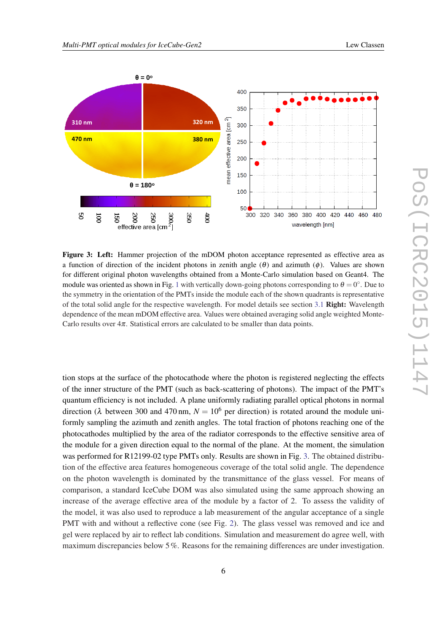<span id="page-5-0"></span>

Figure 3: Left: Hammer projection of the mDOM photon acceptance represented as effective area as a function of direction of the incident photons in zenith angle  $(\theta)$  and azimuth  $(\phi)$ . Values are shown for different original photon wavelengths obtained from a Monte-Carlo simulation based on Geant4. The module was oriented as shown in Fig. [1](#page-2-0) with vertically down-going photons corresponding to  $\theta = 0^{\circ}$ . Due to the symmetry in the orientation of the PMTs inside the module each of the shown quadrants is representative of the total solid angle for the respective wavelength. For model details see section [3.1](#page-4-0) Right: Wavelength dependence of the mean mDOM effective area. Values were obtained averaging solid angle weighted Monte-Carlo results over  $4\pi$ . Statistical errors are calculated to be smaller than data points.

tion stops at the surface of the photocathode where the photon is registered neglecting the effects of the inner structure of the PMT (such as back-scattering of photons). The impact of the PMT's quantum efficiency is not included. A plane uniformly radiating parallel optical photons in normal direction ( $\lambda$  between 300 and 470 nm,  $N = 10^6$  per direction) is rotated around the module uniformly sampling the azimuth and zenith angles. The total fraction of photons reaching one of the photocathodes multiplied by the area of the radiator corresponds to the effective sensitive area of the module for a given direction equal to the normal of the plane. At the moment, the simulation was performed for R12199-02 type PMTs only. Results are shown in Fig. 3. The obtained distribution of the effective area features homogeneous coverage of the total solid angle. The dependence on the photon wavelength is dominated by the transmittance of the glass vessel. For means of comparison, a standard IceCube DOM was also simulated using the same approach showing an increase of the average effective area of the module by a factor of 2. To assess the validity of the model, it was also used to reproduce a lab measurement of the angular acceptance of a single PMT with and without a reflective cone (see Fig. [2](#page-4-0)). The glass vessel was removed and ice and gel were replaced by air to reflect lab conditions. Simulation and measurement do agree well, with maximum discrepancies below 5%. Reasons for the remaining differences are under investigation.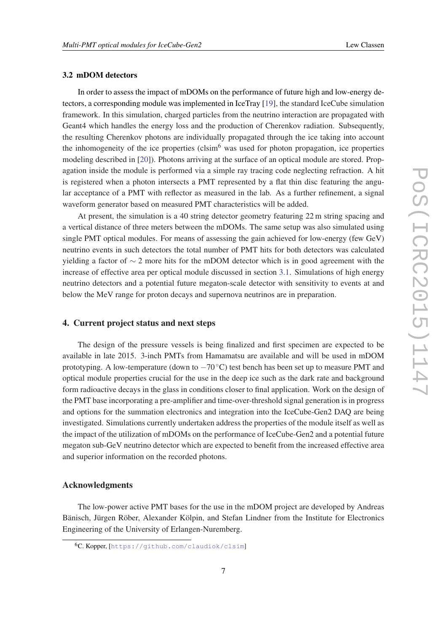## 3.2 mDOM detectors

In order to assess the impact of mDOMs on the performance of future high and low-energy detectors, a corresponding module was implemented in IceTray [[19\]](#page-7-0), the standard IceCube simulation framework. In this simulation, charged particles from the neutrino interaction are propagated with Geant4 which handles the energy loss and the production of Cherenkov radiation. Subsequently, the resulting Cherenkov photons are individually propagated through the ice taking into account the inhomogeneity of the ice properties  $(clsim<sup>6</sup>$  was used for photon propagation, ice properties modeling described in [[20](#page-7-0)]). Photons arriving at the surface of an optical module are stored. Propagation inside the module is performed via a simple ray tracing code neglecting refraction. A hit is registered when a photon intersects a PMT represented by a flat thin disc featuring the angular acceptance of a PMT with reflector as measured in the lab. As a further refinement, a signal waveform generator based on measured PMT characteristics will be added.

At present, the simulation is a 40 string detector geometry featuring 22 m string spacing and a vertical distance of three meters between the mDOMs. The same setup was also simulated using single PMT optical modules. For means of assessing the gain achieved for low-energy (few GeV) neutrino events in such detectors the total number of PMT hits for both detectors was calculated yielding a factor of  $\sim$  2 more hits for the mDOM detector which is in good agreement with the increase of effective area per optical module discussed in section [3.1.](#page-4-0) Simulations of high energy neutrino detectors and a potential future megaton-scale detector with sensitivity to events at and below the MeV range for proton decays and supernova neutrinos are in preparation.

## 4. Current project status and next steps

The design of the pressure vessels is being finalized and first specimen are expected to be available in late 2015. 3-inch PMTs from Hamamatsu are available and will be used in mDOM prototyping. A low-temperature (down to  $-70^{\circ}$ C) test bench has been set up to measure PMT and optical module properties crucial for the use in the deep ice such as the dark rate and background form radioactive decays in the glass in conditions closer to final application. Work on the design of the PMT base incorporating a pre-amplifier and time-over-threshold signal generation is in progress and options for the summation electronics and integration into the IceCube-Gen2 DAQ are being investigated. Simulations currently undertaken address the properties of the module itself as well as the impact of the utilization of mDOMs on the performance of IceCube-Gen2 and a potential future megaton sub-GeV neutrino detector which are expected to benefit from the increased effective area and superior information on the recorded photons.

# Acknowledgments

The low-power active PMT bases for the use in the mDOM project are developed by Andreas Bänisch, Jürgen Röber, Alexander Kölpin, and Stefan Lindner from the Institute for Electronics Engineering of the University of Erlangen-Nuremberg.

<sup>6</sup>C. Kopper, [<https://github.com/claudiok/clsim>]